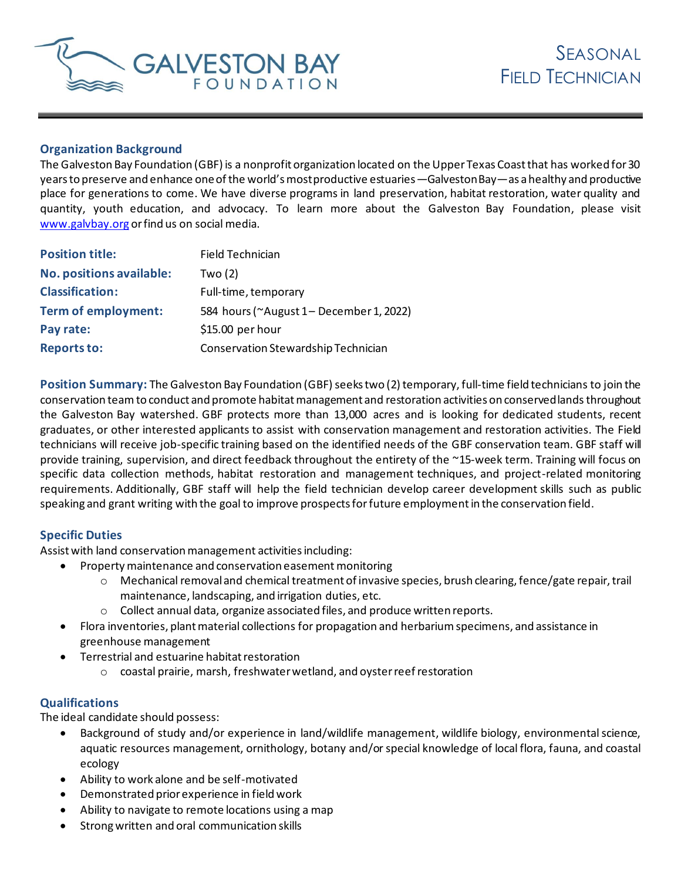

## **Organization Background**

The Galveston Bay Foundation (GBF) is a nonprofit organization located on the Upper Texas Coast that has worked for 30 years to preserve and enhance one of the world's most productive estuaries—Galveston Bay—as a healthy and productive place for generations to come. We have diverse programs in land preservation, habitat restoration, water quality and quantity, youth education, and advocacy. To learn more about the Galveston Bay Foundation, please visit www.galvbay.org or find us on social media.

| <b>Position title:</b>          | Field Technician                       |
|---------------------------------|----------------------------------------|
| <b>No. positions available:</b> | Two $(2)$                              |
| <b>Classification:</b>          | Full-time, temporary                   |
| <b>Term of employment:</b>      | 584 hours (~August 1-December 1, 2022) |
| Pay rate:                       | $$15.00$ per hour                      |
| <b>Reports to:</b>              | Conservation Stewardship Technician    |

**Position Summary:** The Galveston Bay Foundation (GBF) seeks two (2) temporary, full-time field technicians to join the conservation teamto conduct and promote habitat management and restoration activities on conserved lands throughout the Galveston Bay watershed. GBF protects more than 13,000 acres and is looking for dedicated students, recent graduates, or other interested applicants to assist with conservation management and restoration activities. The Field technicians will receive job-specific training based on the identified needs of the GBF conservation team. GBF staff will provide training, supervision, and direct feedback throughout the entirety of the ~15-week term. Training will focus on specific data collection methods, habitat restoration and management techniques, and project-related monitoring requirements. Additionally, GBF staff will help the field technician develop career development skills such as public speaking and grant writing with the goal to improve prospects for future employment in the conservation field.

## **Specific Duties**

Assist with land conservation management activities including:

- Property maintenance and conservation easement monitoring
	- o Mechanical removal and chemical treatment of invasive species, brush clearing, fence/gate repair, trail maintenance, landscaping, and irrigation duties, etc.
	- o Collect annual data, organize associated files, and produce written reports.
- Flora inventories, plant material collections for propagation and herbariumspecimens, and assistance in greenhouse management
- Terrestrial and estuarine habitat restoration
	- o coastal prairie, marsh, freshwater wetland, and oyster reef restoration

## **Qualifications**

The ideal candidate should possess:

- Background of study and/or experience in land/wildlife management, wildlife biology, environmental science, aquatic resources management, ornithology, botany and/or special knowledge of local flora, fauna, and coastal ecology
- Ability to work alone and be self-motivated
- Demonstrated prior experience in field work
- Ability to navigate to remote locations using a map
- Strongwritten and oral communication skills